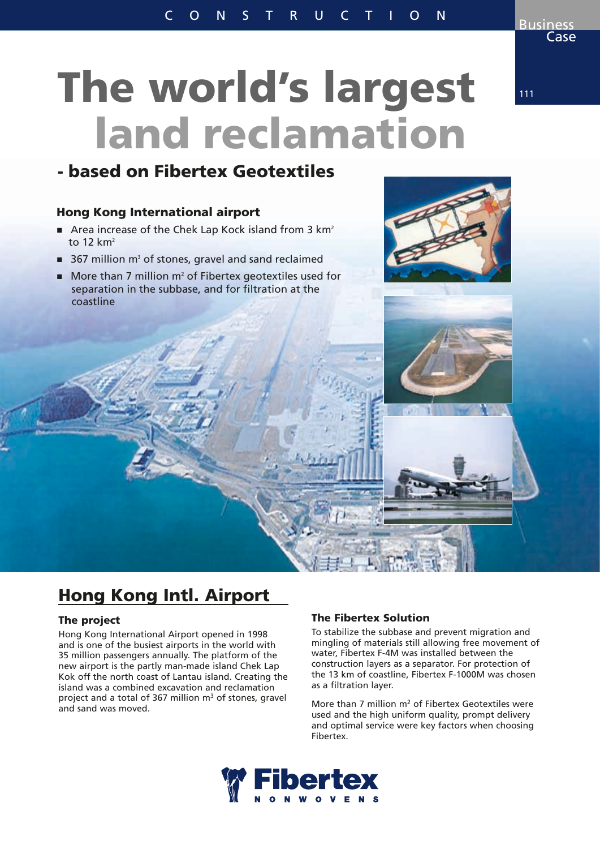# The world's largest land reclamation

## - based on Fibertex Geotextiles

### Hong Kong International airport

- Area increase of the Chek Lap Kock island from 3  $km<sup>2</sup>$ to  $12 \text{ km}^2$
- $\blacksquare$  367 million m<sup>3</sup> of stones, gravel and sand reclaimed
- $\blacksquare$  More than 7 million m<sup>2</sup> of Fibertex geotextiles used for separation in the subbase, and for filtration at the coastline





## Hong Kong Intl. Airport

#### The project

Hong Kong International Airport opened in 1998 and is one of the busiest airports in the world with 35 million passengers annually. The platform of the new airport is the partly man-made island Chek Lap Kok off the north coast of Lantau island. Creating the island was a combined excavation and reclamation project and a total of 367 million  $m<sup>3</sup>$  of stones, gravel and sand was moved.

#### The Fibertex Solution

To stabilize the subbase and prevent migration and mingling of materials still allowing free movement of water, Fibertex F-4M was installed between the construction layers as a separator. For protection of the 13 km of coastline, Fibertex F-1000M was chosen as a filtration layer.

More than 7 million  $m^2$  of Fibertex Geotextiles were used and the high uniform quality, prompt delivery and optimal service were key factors when choosing Fibertex.